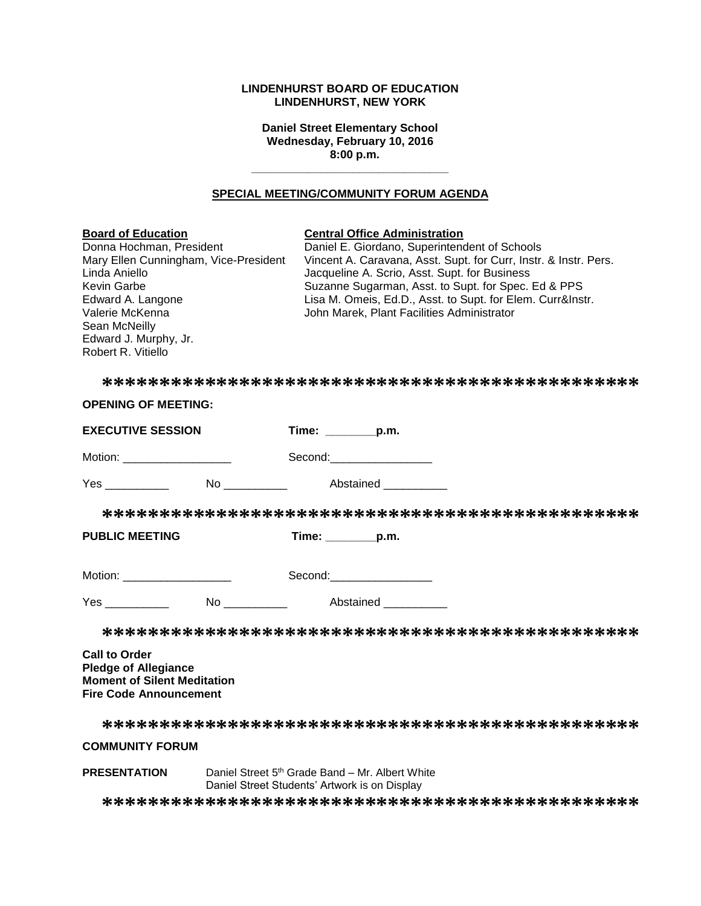# **LINDENHURST BOARD OF EDUCATION LINDENHURST, NEW YORK**

**Daniel Street Elementary School Wednesday, February 10, 2016 8:00 p.m.**

# **SPECIAL MEETING/COMMUNITY FORUM AGENDA**

**\_\_\_\_\_\_\_\_\_\_\_\_\_\_\_\_\_\_\_\_\_\_\_\_\_\_\_\_\_\_\_**

| <b>Board of Education</b><br>Donna Hochman, President<br>Mary Ellen Cunningham, Vice-President<br>Linda Aniello<br>Kevin Garbe<br>Edward A. Langone<br>Valerie McKenna<br>Sean McNeilly<br>Edward J. Murphy, Jr.<br>Robert R. Vitiello | <b>Central Office Administration</b><br>Daniel E. Giordano, Superintendent of Schools<br>Vincent A. Caravana, Asst. Supt. for Curr, Instr. & Instr. Pers.<br>Jacqueline A. Scrio, Asst. Supt. for Business<br>Suzanne Sugarman, Asst. to Supt. for Spec. Ed & PPS<br>Lisa M. Omeis, Ed.D., Asst. to Supt. for Elem. Curr&Instr.<br>John Marek, Plant Facilities Administrator |
|----------------------------------------------------------------------------------------------------------------------------------------------------------------------------------------------------------------------------------------|-------------------------------------------------------------------------------------------------------------------------------------------------------------------------------------------------------------------------------------------------------------------------------------------------------------------------------------------------------------------------------|
|                                                                                                                                                                                                                                        |                                                                                                                                                                                                                                                                                                                                                                               |
| <b>OPENING OF MEETING:</b>                                                                                                                                                                                                             |                                                                                                                                                                                                                                                                                                                                                                               |
| <b>EXECUTIVE SESSION</b>                                                                                                                                                                                                               | Time: _________p.m.                                                                                                                                                                                                                                                                                                                                                           |
| Motion: ______________________                                                                                                                                                                                                         | Second:___________________                                                                                                                                                                                                                                                                                                                                                    |
|                                                                                                                                                                                                                                        |                                                                                                                                                                                                                                                                                                                                                                               |
|                                                                                                                                                                                                                                        |                                                                                                                                                                                                                                                                                                                                                                               |
| <b>PUBLIC MEETING</b>                                                                                                                                                                                                                  | Time: $\_\_$ p.m.                                                                                                                                                                                                                                                                                                                                                             |
| Motion: _____________________                                                                                                                                                                                                          | Second: Second:                                                                                                                                                                                                                                                                                                                                                               |
| <b>Yes</b> and the set of the set of the set of the set of the set of the set of the set of the set of the set of the set of the set of the set of the set of the set of the set of the set of the set of the set of the set of the    | No _____________ Abstained _________                                                                                                                                                                                                                                                                                                                                          |
|                                                                                                                                                                                                                                        |                                                                                                                                                                                                                                                                                                                                                                               |
| <b>Call to Order</b><br><b>Pledge of Allegiance</b><br><b>Moment of Silent Meditation</b><br><b>Fire Code Announcement</b>                                                                                                             |                                                                                                                                                                                                                                                                                                                                                                               |
|                                                                                                                                                                                                                                        |                                                                                                                                                                                                                                                                                                                                                                               |
| <b>COMMUNITY FORUM</b>                                                                                                                                                                                                                 |                                                                                                                                                                                                                                                                                                                                                                               |

**\*\*\*\*\*\*\*\*\*\*\*\*\*\*\*\*\*\*\*\*\*\*\*\*\*\*\*\*\*\*\*\*\*\*\*\*\*\*\*\*\*\*\*\*\*\*\***

Daniel Street 5<sup>th</sup> Grade Band – Mr. Albert White Daniel Street Students' Artwork is on Display

**PRESENTATION**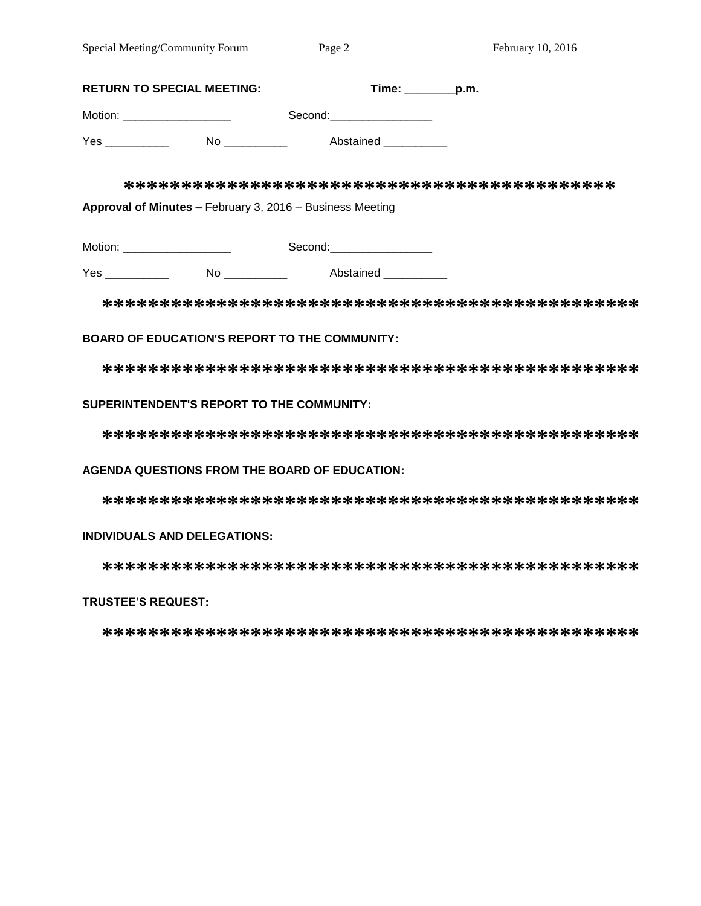|            | <b>RETURN TO SPECIAL MEETING:</b>                         | $Time:$ $p.m.$             |  |
|------------|-----------------------------------------------------------|----------------------------|--|
|            | Motion: _____________________                             | Second: __________________ |  |
| $Yes \_\_$ |                                                           | Abstained ___________      |  |
|            |                                                           |                            |  |
|            | Approval of Minutes - February 3, 2016 - Business Meeting |                            |  |
|            | Motion: _ ____________________                            | Second: ________________   |  |

Yes \_\_\_\_\_\_\_\_\_\_\_\_ No \_\_\_\_\_\_\_\_\_\_ Abstained \_\_\_\_\_\_\_\_\_

**\*\*\*\*\*\*\*\*\*\*\*\*\*\*\*\*\*\*\*\*\*\*\*\*\*\*\*\*\*\*\*\*\*\*\*\*\*\*\*\*\*\*\*\*\*\*\***

# **BOARD OF EDUCATION'S REPORT TO THE COMMUNITY:**

**\*\*\*\*\*\*\*\*\*\*\*\*\*\*\*\*\*\*\*\*\*\*\*\*\*\*\*\*\*\*\*\*\*\*\*\*\*\*\*\*\*\*\*\*\*\*\***

# **SUPERINTENDENT'S REPORT TO THE COMMUNITY:**

**\*\*\*\*\*\*\*\*\*\*\*\*\*\*\*\*\*\*\*\*\*\*\*\*\*\*\*\*\*\*\*\*\*\*\*\*\*\*\*\*\*\*\*\*\*\*\***

### **AGENDA QUESTIONS FROM THE BOARD OF EDUCATION:**

**\*\*\*\*\*\*\*\*\*\*\*\*\*\*\*\*\*\*\*\*\*\*\*\*\*\*\*\*\*\*\*\*\*\*\*\*\*\*\*\*\*\*\*\*\*\*\***

### **INDIVIDUALS AND DELEGATIONS:**

**\*\*\*\*\*\*\*\*\*\*\*\*\*\*\*\*\*\*\*\*\*\*\*\*\*\*\*\*\*\*\*\*\*\*\*\*\*\*\*\*\*\*\*\*\*\*\***

# **TRUSTEE'S REQUEST:**

**\*\*\*\*\*\*\*\*\*\*\*\*\*\*\*\*\*\*\*\*\*\*\*\*\*\*\*\*\*\*\*\*\*\*\*\*\*\*\*\*\*\*\*\*\*\*\***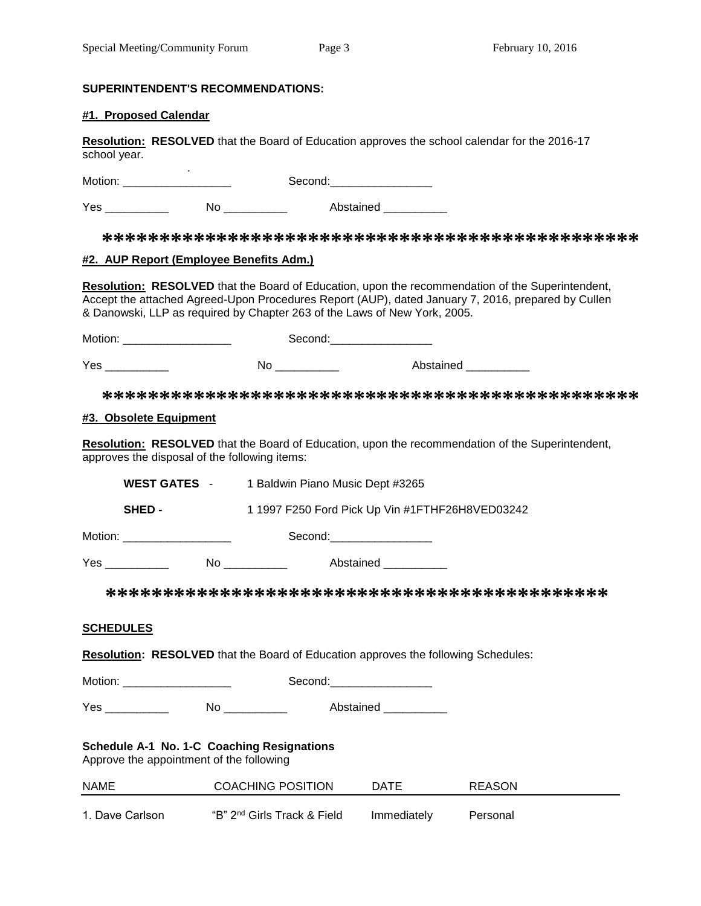# **SUPERINTENDENT'S RECOMMENDATIONS:**

# **#1. Proposed Calendar**

**Resolution: RESOLVED** that the Board of Education approves the school calendar for the 2016-17 school year.

 . Motion: \_\_\_\_\_\_\_\_\_\_\_\_\_\_\_\_\_ Second:\_\_\_\_\_\_\_\_\_\_\_\_\_\_\_\_

Yes \_\_\_\_\_\_\_\_\_\_\_\_ No \_\_\_\_\_\_\_\_\_\_ Abstained \_\_\_\_\_\_\_\_\_\_

**\*\*\*\*\*\*\*\*\*\*\*\*\*\*\*\*\*\*\*\*\*\*\*\*\*\*\*\*\*\*\*\*\*\*\*\*\*\*\*\*\*\*\*\*\*\*\***

# **#2. AUP Report (Employee Benefits Adm.)**

**Resolution: RESOLVED** that the Board of Education, upon the recommendation of the Superintendent, Accept the attached Agreed-Upon Procedures Report (AUP), dated January 7, 2016, prepared by Cullen & Danowski, LLP as required by Chapter 263 of the Laws of New York, 2005.

Motion: \_\_\_\_\_\_\_\_\_\_\_\_\_\_\_\_\_ Second:\_\_\_\_\_\_\_\_\_\_\_\_\_\_\_\_ Yes \_\_\_\_\_\_\_\_\_\_\_\_\_\_ No \_\_\_\_\_\_\_\_\_\_ Abstained \_\_\_\_\_\_\_\_\_\_

**\*\*\*\*\*\*\*\*\*\*\*\*\*\*\*\*\*\*\*\*\*\*\*\*\*\*\*\*\*\*\*\*\*\*\*\*\*\*\*\*\*\*\*\*\*\*\***

# **#3. Obsolete Equipment**

**Resolution: RESOLVED** that the Board of Education, upon the recommendation of the Superintendent, approves the disposal of the following items:

|                                                                                           | WEST GATES - 1 Baldwin Piano Music Dept #3265 |                            |                                                 |               |  |
|-------------------------------------------------------------------------------------------|-----------------------------------------------|----------------------------|-------------------------------------------------|---------------|--|
| SHED-                                                                                     |                                               |                            | 1 1997 F250 Ford Pick Up Vin #1FTHF26H8VED03242 |               |  |
| Motion: _____________________                                                             |                                               | Second:___________________ |                                                 |               |  |
| Yes ____________   No ____________   Abstained ___________                                |                                               |                            |                                                 |               |  |
|                                                                                           |                                               |                            |                                                 |               |  |
| <u>SCHEDULES</u>                                                                          |                                               |                            |                                                 |               |  |
| <b>Resolution: RESOLVED</b> that the Board of Education approves the following Schedules: |                                               |                            |                                                 |               |  |
| Motion: _______________________                                                           |                                               | Second:___________________ |                                                 |               |  |
| Yes _______________  No _____________  Abstained ___________                              |                                               |                            |                                                 |               |  |
| Schedule A-1 No. 1-C Coaching Resignations<br>Approve the appointment of the following    |                                               |                            |                                                 |               |  |
| NAME                                                                                      | <b>COACHING POSITION</b>                      |                            | <b>DATE</b>                                     | <b>REASON</b> |  |
| 1. Dave Carlson                                                                           | "B" 2 <sup>nd</sup> Girls Track & Field       |                            | Immediately                                     | Personal      |  |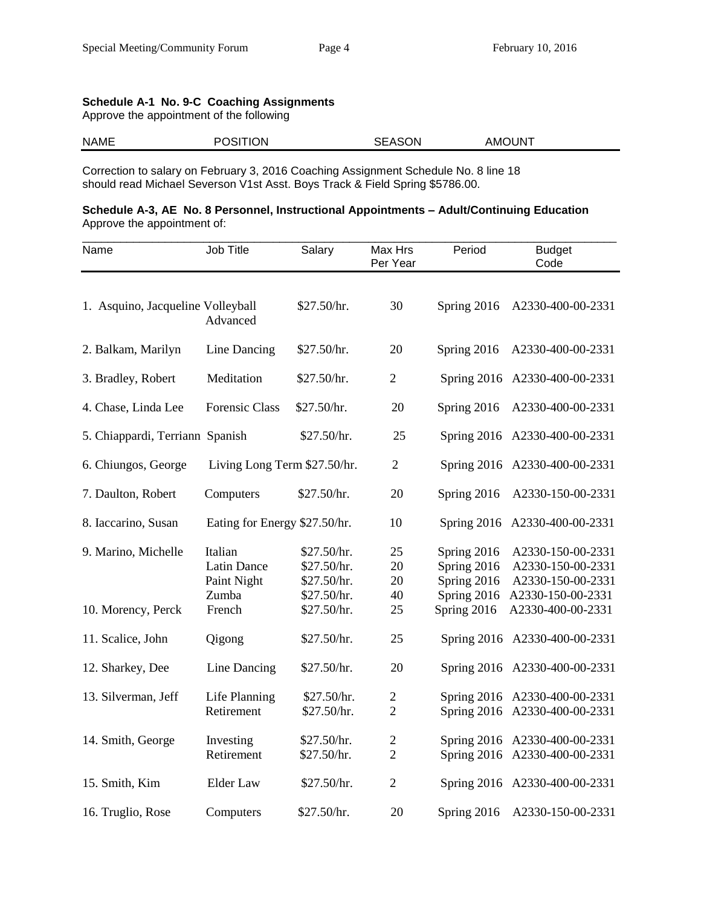# **Schedule A-1 No. 9-C Coaching Assignments**

Approve the appointment of the following

| <b>NAME</b> | <b>POSITION</b> | <b>SEASON</b><br>____ | AMOUNT<br>____ |
|-------------|-----------------|-----------------------|----------------|
|             |                 |                       |                |

Correction to salary on February 3, 2016 Coaching Assignment Schedule No. 8 line 18 should read Michael Severson V1st Asst. Boys Track & Field Spring \$5786.00.

# **Schedule A-3, AE No. 8 Personnel, Instructional Appointments – Adult/Continuing Education** Approve the appointment of:

| Name                              | Job Title                     | Salary                     | Max Hrs<br>Per Year | Period                     | <b>Budget</b><br>Code                  |
|-----------------------------------|-------------------------------|----------------------------|---------------------|----------------------------|----------------------------------------|
|                                   |                               |                            |                     |                            |                                        |
| 1. Asquino, Jacqueline Volleyball | Advanced                      | \$27.50/hr.                | 30                  | Spring 2016                | A2330-400-00-2331                      |
| 2. Balkam, Marilyn                | Line Dancing                  | \$27.50/hr.                | 20                  | Spring 2016                | A2330-400-00-2331                      |
| 3. Bradley, Robert                | Meditation                    | \$27.50/hr.                | $\overline{2}$      |                            | Spring 2016 A2330-400-00-2331          |
| 4. Chase, Linda Lee               | <b>Forensic Class</b>         | \$27.50/hr.                | 20                  | Spring 2016                | A2330-400-00-2331                      |
| 5. Chiappardi, Terriann Spanish   |                               | \$27.50/hr.                | 25                  |                            | Spring 2016 A2330-400-00-2331          |
| 6. Chiungos, George               | Living Long Term \$27.50/hr.  |                            | $\overline{2}$      |                            | Spring 2016 A2330-400-00-2331          |
| 7. Daulton, Robert                | Computers                     | \$27.50/hr.                | 20                  | Spring 2016                | A2330-150-00-2331                      |
| 8. Iaccarino, Susan               | Eating for Energy \$27.50/hr. |                            | 10                  |                            | Spring 2016 A2330-400-00-2331          |
| 9. Marino, Michelle               | Italian                       | \$27.50/hr.                | 25                  | Spring 2016                | A2330-150-00-2331                      |
|                                   | <b>Latin Dance</b>            | \$27.50/hr.                | 20                  | Spring 2016                | A2330-150-00-2331                      |
|                                   | Paint Night<br>Zumba          | \$27.50/hr.<br>\$27.50/hr. | 20<br>40            | Spring 2016<br>Spring 2016 | A2330-150-00-2331<br>A2330-150-00-2331 |
| 10. Morency, Perck                | French                        | \$27.50/hr.                | 25                  | Spring 2016                | A2330-400-00-2331                      |
| 11. Scalice, John                 | Qigong                        | \$27.50/hr.                | 25                  |                            | Spring 2016 A2330-400-00-2331          |
| 12. Sharkey, Dee                  | Line Dancing                  | \$27.50/hr.                | 20                  |                            | Spring 2016 A2330-400-00-2331          |
| 13. Silverman, Jeff               | Life Planning                 | \$27.50/hr.                | $\mathbf{2}$        |                            | Spring 2016 A2330-400-00-2331          |
|                                   | Retirement                    | \$27.50/hr.                | $\overline{2}$      |                            | Spring 2016 A2330-400-00-2331          |
| 14. Smith, George                 | Investing                     | \$27.50/hr.                | $\mathfrak{2}$      |                            | Spring 2016 A2330-400-00-2331          |
|                                   | Retirement                    | \$27.50/hr.                | $\overline{2}$      |                            | Spring 2016 A2330-400-00-2331          |
| 15. Smith, Kim                    | <b>Elder Law</b>              | \$27.50/hr.                | $\overline{2}$      |                            | Spring 2016 A2330-400-00-2331          |
| 16. Truglio, Rose                 | Computers                     | \$27.50/hr.                | 20                  | Spring 2016                | A2330-150-00-2331                      |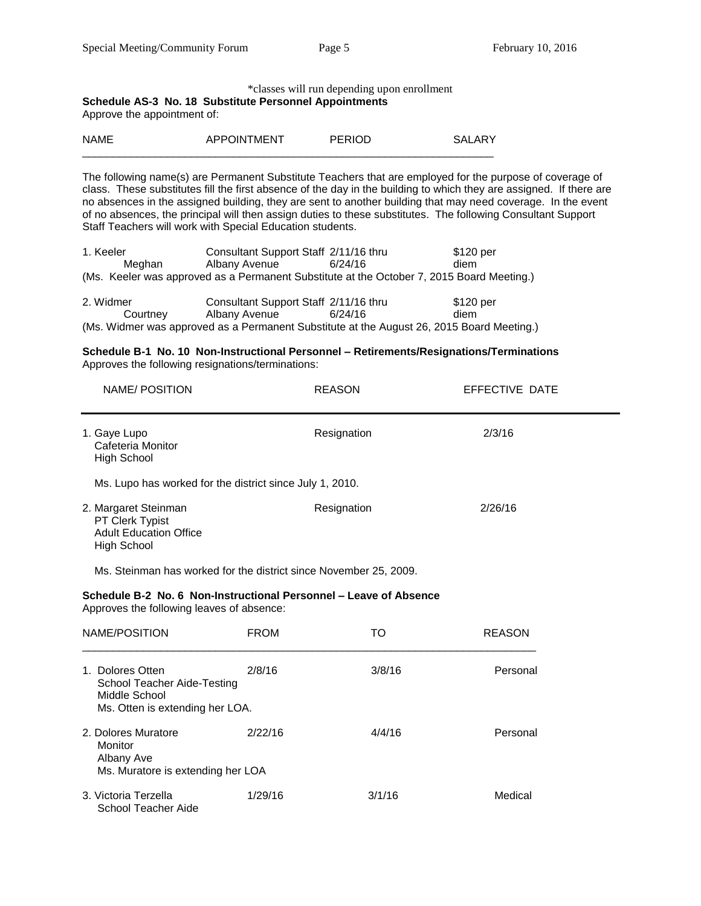#### \*classes will run depending upon enrollment

# **Schedule AS-3 No. 18 Substitute Personnel Appointments**

Approve the appointment of:

| <b>NAME</b> | ىرد<br>∖M⊢N<br>Δ⊔<br>אור |  |
|-------------|--------------------------|--|
|             |                          |  |

The following name(s) are Permanent Substitute Teachers that are employed for the purpose of coverage of class. These substitutes fill the first absence of the day in the building to which they are assigned. If there are no absences in the assigned building, they are sent to another building that may need coverage. In the event of no absences, the principal will then assign duties to these substitutes. The following Consultant Support Staff Teachers will work with Special Education students.

| 1. Keeler |        | Consultant Support Staff 2/11/16 thru                                                     |         | \$120 per |
|-----------|--------|-------------------------------------------------------------------------------------------|---------|-----------|
|           | Meahan | Albany Avenue                                                                             | 6/24/16 | diem      |
|           |        | (Ms. Keeler was approved as a Permanent Substitute at the October 7, 2015 Board Meeting.) |         |           |
|           |        |                                                                                           |         |           |

| 2. Widmer | Consultant Support Staff 2/11/16 thru |         | \$120 per                                                                                 |
|-----------|---------------------------------------|---------|-------------------------------------------------------------------------------------------|
| Courtney  | Albany Avenue                         | 6/24/16 | diem                                                                                      |
|           |                                       |         | (Ms. Widmer was approved as a Permanent Substitute at the August 26, 2015 Board Meeting.) |

#### **Schedule B-1 No. 10 Non-Instructional Personnel – Retirements/Resignations/Terminations** Approves the following resignations/terminations:

| NAME/POSITION                                                                           | <b>REASON</b> | EFFECTIVE DATE |
|-----------------------------------------------------------------------------------------|---------------|----------------|
| 1. Gaye Lupo<br>Cafeteria Monitor<br>High School                                        | Resignation   | 2/3/16         |
| Ms. Lupo has worked for the district since July 1, 2010.                                |               |                |
| 2. Margaret Steinman<br>PT Clerk Typist<br><b>Adult Education Office</b><br>High School | Resignation   | 2/26/16        |

Ms. Steinman has worked for the district since November 25, 2009.

#### **Schedule B-2 No. 6 Non-Instructional Personnel – Leave of Absence**  Approves the following leaves of absence:

| NAME/POSITION                                                                                               | <b>FROM</b> | TO     | <b>REASON</b> |
|-------------------------------------------------------------------------------------------------------------|-------------|--------|---------------|
| Dolores Otten<br>$1_{-}$<br>School Teacher Aide-Testing<br>Middle School<br>Ms. Otten is extending her LOA. | 2/8/16      | 3/8/16 | Personal      |
| 2. Dolores Muratore<br>Monitor<br>Albany Ave<br>Ms. Muratore is extending her LOA                           | 2/22/16     | 4/4/16 | Personal      |
| 3. Victoria Terzella<br>School Teacher Aide                                                                 | 1/29/16     | 3/1/16 | Medical       |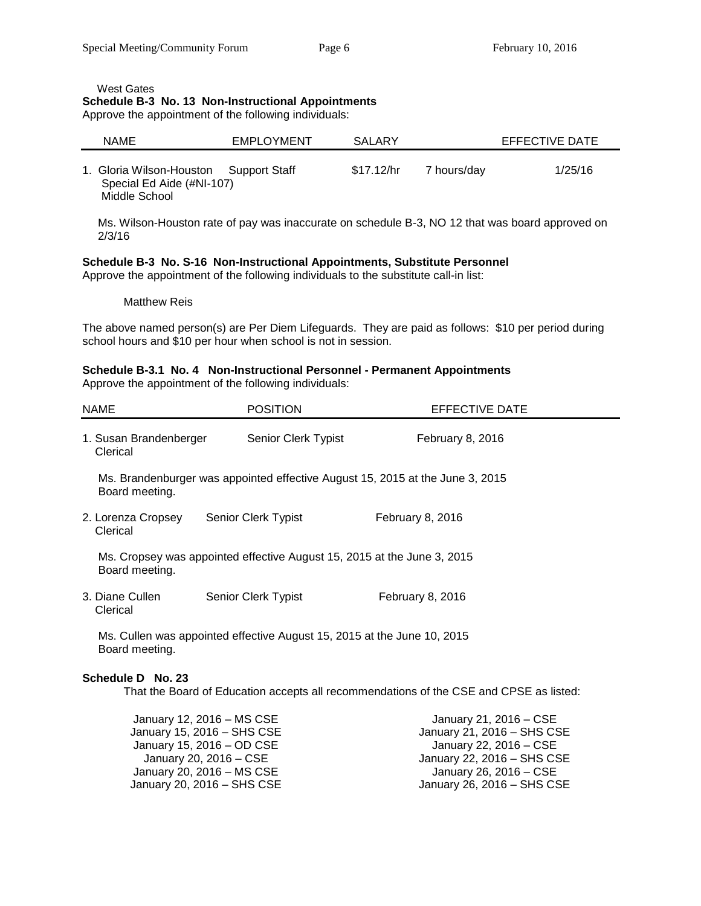West Gates

# **Schedule B-3 No. 13 Non-Instructional Appointments**

Approve the appointment of the following individuals:

| <b>NAME</b>                                                            | <b>EMPLOYMENT</b> | <b>SALARY</b> |             | EFFECTIVE DATE |
|------------------------------------------------------------------------|-------------------|---------------|-------------|----------------|
| 1. Gloria Wilson-Houston<br>Special Ed Aide (#NI-107)<br>Middle School | Support Staff     | \$17.12/hr    | 7 hours/day | 1/25/16        |

Ms. Wilson-Houston rate of pay was inaccurate on schedule B-3, NO 12 that was board approved on 2/3/16

# **Schedule B-3 No. S-16 Non-Instructional Appointments, Substitute Personnel**

Approve the appointment of the following individuals to the substitute call-in list:

Matthew Reis

The above named person(s) are Per Diem Lifeguards. They are paid as follows: \$10 per period during school hours and \$10 per hour when school is not in session.

#### **Schedule B-3.1 No. 4 Non-Instructional Personnel - Permanent Appointments**  Approve the appointment of the following individuals:

|               | Approve the appointment of the following individuals. |  |
|---------------|-------------------------------------------------------|--|
|               |                                                       |  |
| <b>AIA AF</b> | <b>DOOFIOU</b>                                        |  |

| <b>NAME</b>                                                                               |                                                                                           | <b>POSITION</b>            | EFFECTIVE DATE                                                                |  |  |
|-------------------------------------------------------------------------------------------|-------------------------------------------------------------------------------------------|----------------------------|-------------------------------------------------------------------------------|--|--|
|                                                                                           | 1. Susan Brandenberger<br>Clerical                                                        | Senior Clerk Typist        | February 8, 2016                                                              |  |  |
|                                                                                           | Board meeting.                                                                            |                            | Ms. Brandenburger was appointed effective August 15, 2015 at the June 3, 2015 |  |  |
|                                                                                           | 2. Lorenza Cropsey<br>Clerical                                                            | <b>Senior Clerk Typist</b> | February 8, 2016                                                              |  |  |
| Ms. Cropsey was appointed effective August 15, 2015 at the June 3, 2015<br>Board meeting. |                                                                                           |                            |                                                                               |  |  |
|                                                                                           | 3. Diane Cullen<br>Clerical                                                               | <b>Senior Clerk Typist</b> | February 8, 2016                                                              |  |  |
|                                                                                           | Ms. Cullen was appointed effective August 15, 2015 at the June 10, 2015<br>Board meeting. |                            |                                                                               |  |  |

### **Schedule D No. 23**

That the Board of Education accepts all recommendations of the CSE and CPSE as listed:

| January 12, 2016 - MS CSE  | January 21, 2016 – CSE     |
|----------------------------|----------------------------|
| January 15, 2016 – SHS CSE | January 21, 2016 - SHS CSE |
| January 15, 2016 - OD CSE  | January 22, 2016 – CSE     |
| January 20, 2016 – CSE     | January 22, 2016 - SHS CSE |
| January 20, 2016 - MS CSE  | January 26, 2016 – CSE     |
| January 20, 2016 – SHS CSE | January 26, 2016 - SHS CSE |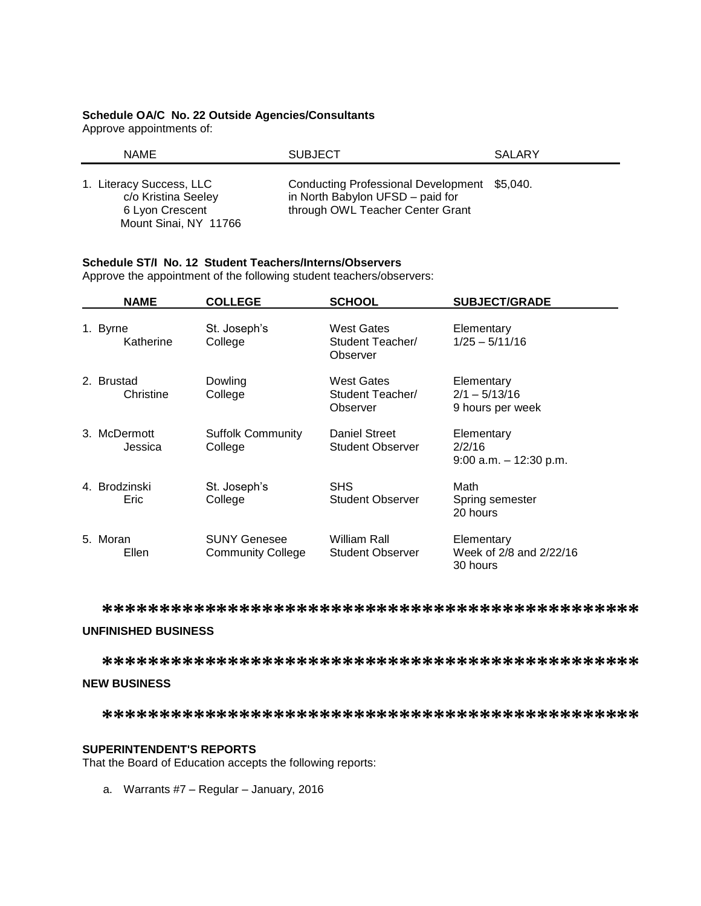# **Schedule OA/C No. 22 Outside Agencies/Consultants**

Approve appointments of:

| <b>NAME</b>                                                                                 | <b>SUBJECT</b>                                                                                                       | SALARY |
|---------------------------------------------------------------------------------------------|----------------------------------------------------------------------------------------------------------------------|--------|
| 1. Literacy Success, LLC<br>c/o Kristina Seeley<br>6 Lyon Crescent<br>Mount Sinai, NY 11766 | Conducting Professional Development \$5,040.<br>in North Babylon UFSD - paid for<br>through OWL Teacher Center Grant |        |

### **Schedule ST/I No. 12 Student Teachers/Interns/Observers**

Approve the appointment of the following student teachers/observers:

| <b>NAME</b>             | <b>COLLEGE</b>                                  | <b>SCHOOL</b>                                     | <b>SUBJECT/GRADE</b>                              |
|-------------------------|-------------------------------------------------|---------------------------------------------------|---------------------------------------------------|
| 1. Byrne<br>Katherine   | St. Joseph's<br>College                         | West Gates<br>Student Teacher/<br>Observer        | Elementary<br>$1/25 - 5/11/16$                    |
| 2. Brustad<br>Christine | Dowling<br>College                              | <b>West Gates</b><br>Student Teacher/<br>Observer | Elementary<br>$2/1 - 5/13/16$<br>9 hours per week |
| 3. McDermott<br>Jessica | <b>Suffolk Community</b><br>College             | Daniel Street<br><b>Student Observer</b>          | Elementary<br>2/2/16<br>$9:00$ a.m. $-12:30$ p.m. |
| 4. Brodzinski<br>Eric   | St. Joseph's<br>College                         | <b>SHS</b><br><b>Student Observer</b>             | Math<br>Spring semester<br>20 hours               |
| 5. Moran<br>Ellen       | <b>SUNY Genesee</b><br><b>Community College</b> | William Rall<br><b>Student Observer</b>           | Elementary<br>Week of 2/8 and 2/22/16<br>30 hours |

**\*\*\*\*\*\*\*\*\*\*\*\*\*\*\*\*\*\*\*\*\*\*\*\*\*\*\*\*\*\*\*\*\*\*\*\*\*\*\*\*\*\*\*\*\*\*\***

# **UNFINISHED BUSINESS**

**\*\*\*\*\*\*\*\*\*\*\*\*\*\*\*\*\*\*\*\*\*\*\*\*\*\*\*\*\*\*\*\*\*\*\*\*\*\*\*\*\*\*\*\*\*\*\***

#### **NEW BUSINESS**

**\*\*\*\*\*\*\*\*\*\*\*\*\*\*\*\*\*\*\*\*\*\*\*\*\*\*\*\*\*\*\*\*\*\*\*\*\*\*\*\*\*\*\*\*\*\*\***

### **SUPERINTENDENT'S REPORTS**

That the Board of Education accepts the following reports:

a. Warrants #7 – Regular – January, 2016